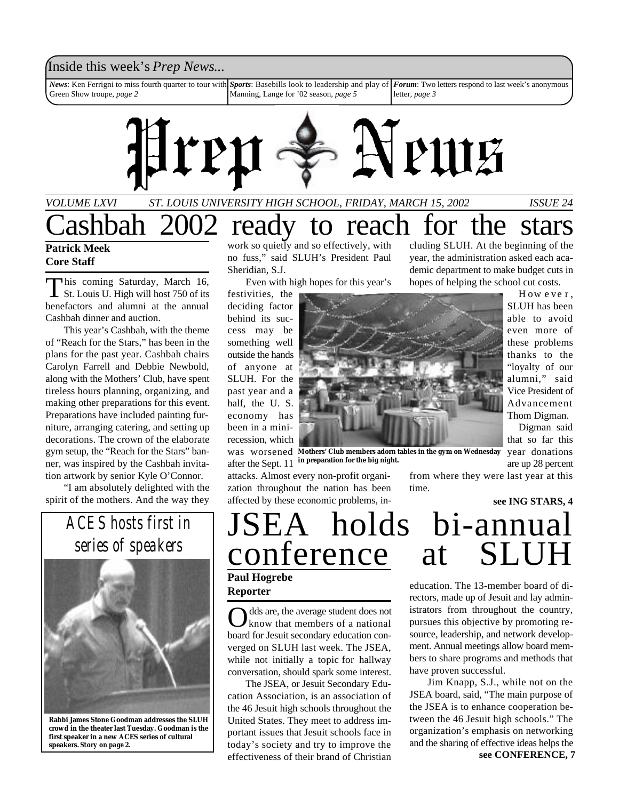## Inside this week's *Prep News*...

*News*: Ken Ferrigni to miss fourth quarter to tour with Green Show troupe, *page 2 Sports*: Basebills look to leadership and play of *Forum*: Two letters respond to last week's anonymous Manning, Lange for '02 season, *page 5* letter, *page 3*



## *VOLUME LXVI ST. LOUIS UNIVERSITY HIGH SCHOOL, FRIDAY, MARCH 15, 2002 ISSUE 24* Cashbah 2002 ready to reach for the stars

## **Patrick Meek Core Staff**

This coming Saturday, March 16,<br>St. Louis U. High will host 750 of its his coming Saturday, March 16, benefactors and alumni at the annual Cashbah dinner and auction.

This year's Cashbah, with the theme of "Reach for the Stars," has been in the plans for the past year. Cashbah chairs Carolyn Farrell and Debbie Newbold, along with the Mothers' Club, have spent tireless hours planning, organizing, and making other preparations for this event. Preparations have included painting furniture, arranging catering, and setting up decorations. The crown of the elaborate gym setup, the "Reach for the Stars" banner, was inspired by the Cashbah invitation artwork by senior Kyle O'Connor.

"I am absolutely delighted with the spirit of the mothers. And the way they

*ACES hosts first in series of speakers*

**Rabbi James Stone Goodman addresses the SLUH**

**crowd in the theater last Tuesday. Goodman is the first speaker in a new ACES series of cultural speakers.** *Story on page 2.*

work so quietly and so effectively, with no fuss," said SLUH's President Paul Sheridian, S.J.

Even with high hopes for this year's

festivities, the deciding factor behind its success may be something well outside the hands of anyone at SLUH. For the past year and a half, the U. S. economy has been in a minirecession, which after the Sept. 11

attacks. Almost every non-profit organization throughout the nation has been affected by these economic problems, including SLUH. At the beginning of the year, the administration asked each academic department to make budget cuts in hopes of helping the school cut costs. H ow e ve r ,



was worsened Mothers' Club members adorn tables in the gym on Wednesday year donations

time.

SLUH has been able to avoid even more of these problems thanks to the "loyalty of our alumni," said Vice President of Advancement Thom Digman.

Digman said that so far this are up 28 percent

**in preparation for the big night.**

from where they were last year at this

**see ING STARS, 4**

# JSEA holds bi-annual conference

**Paul Hogrebe Reporter**

O dds are, the average student does not know that members of a national board for Jesuit secondary education converged on SLUH last week. The JSEA, while not initially a topic for hallway conversation, should spark some interest.

The JSEA, or Jesuit Secondary Education Association, is an association of the 46 Jesuit high schools throughout the United States. They meet to address important issues that Jesuit schools face in today's society and try to improve the effectiveness of their brand of Christian

education. The 13-member board of directors, made up of Jesuit and lay administrators from throughout the country, pursues this objective by promoting resource, leadership, and network development. Annual meetings allow board members to share programs and methods that have proven successful.

Jim Knapp, S.J., while not on the JSEA board, said, "The main purpose of the JSEA is to enhance cooperation between the 46 Jesuit high schools." The organization's emphasis on networking and the sharing of effective ideas helps the **see CONFERENCE, 7**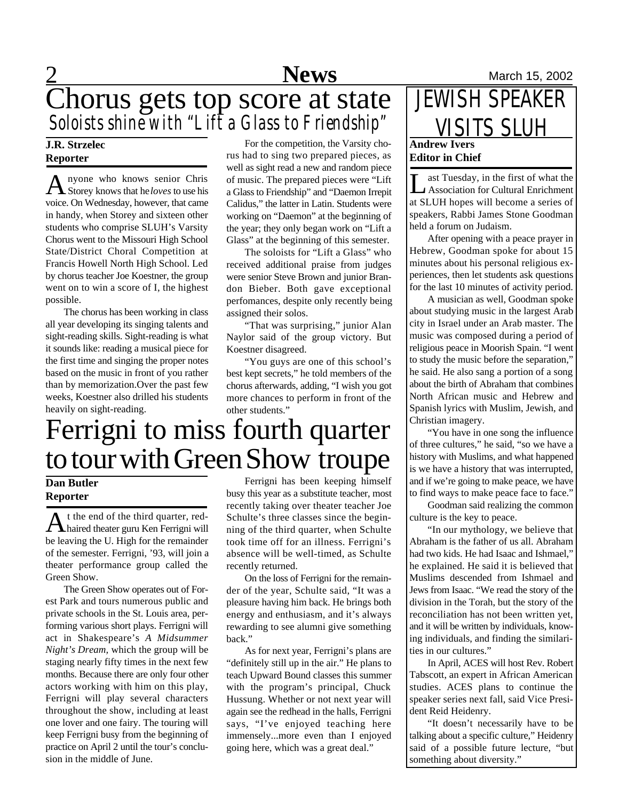# **News** March 15, 2002 Chorus gets top score at state *Soloists shine with "Lift a Glass to Friendship"*

## **J.R. Strzelec Reporter**

A nyone who knows senior Chris<br>Storey knows that he *loves* to use his nyone who knows senior Chris voice. On Wednesday, however, that came in handy, when Storey and sixteen other students who comprise SLUH's Varsity Chorus went to the Missouri High School State/District Choral Competition at Francis Howell North High School. Led by chorus teacher Joe Koestner, the group went on to win a score of I, the highest possible.

The chorus has been working in class all year developing its singing talents and sight-reading skills. Sight-reading is what it sounds like: reading a musical piece for the first time and singing the proper notes based on the music in front of you rather than by memorization.Over the past few weeks, Koestner also drilled his students heavily on sight-reading.

For the competition, the Varsity chorus had to sing two prepared pieces, as well as sight read a new and random piece of music. The prepared pieces were "Lift a Glass to Friendship" and "Daemon Irrepit Calidus," the latter in Latin. Students were working on "Daemon" at the beginning of the year; they only began work on "Lift a Glass" at the beginning of this semester.

The soloists for "Lift a Glass" who received additional praise from judges were senior Steve Brown and junior Brandon Bieber. Both gave exceptional perfomances, despite only recently being assigned their solos.

"That was surprising," junior Alan Naylor said of the group victory. But Koestner disagreed.

"You guys are one of this school's best kept secrets," he told members of the chorus afterwards, adding, "I wish you got more chances to perform in front of the other students."

# Ferrigni to miss fourth quarter to tour with Green Show troupe

## **Dan Butler Reporter**

A t the end of the third quarter, red-<br>haired theater guru Ken Ferrigni will t the end of the third quarter, redbe leaving the U. High for the remainder of the semester. Ferrigni, '93, will join a theater performance group called the Green Show.

The Green Show operates out of Forest Park and tours numerous public and private schools in the St. Louis area, performing various short plays. Ferrigni will act in Shakespeare's *A Midsummer Night's Dream,* which the group will be staging nearly fifty times in the next few months. Because there are only four other actors working with him on this play, Ferrigni will play several characters throughout the show, including at least one lover and one fairy. The touring will keep Ferrigni busy from the beginning of practice on April 2 until the tour's conclusion in the middle of June.

Ferrigni has been keeping himself busy this year as a substitute teacher, most recently taking over theater teacher Joe Schulte's three classes since the beginning of the third quarter, when Schulte took time off for an illness. Ferrigni's absence will be well-timed, as Schulte recently returned.

On the loss of Ferrigni for the remainder of the year, Schulte said, "It was a pleasure having him back. He brings both energy and enthusiasm, and it's always rewarding to see alumni give something back."

As for next year, Ferrigni's plans are "definitely still up in the air." He plans to teach Upward Bound classes this summer with the program's principal, Chuck Hussung. Whether or not next year will again see the redhead in the halls, Ferrigni says, "I've enjoyed teaching here immensely...more even than I enjoyed going here, which was a great deal."

## **Andrew Ivers Editor in Chief** JEWISH SPEAKER VISITS SLUH

Let Tuesday, in the first of what the<br>Association for Cultural Enrichment ast Tuesday, in the first of what the at SLUH hopes will become a series of speakers, Rabbi James Stone Goodman held a forum on Judaism.

After opening with a peace prayer in Hebrew, Goodman spoke for about 15 minutes about his personal religious experiences, then let students ask questions for the last 10 minutes of activity period.

A musician as well, Goodman spoke about studying music in the largest Arab city in Israel under an Arab master. The music was composed during a period of religious peace in Moorish Spain. "I went to study the music before the separation," he said. He also sang a portion of a song about the birth of Abraham that combines North African music and Hebrew and Spanish lyrics with Muslim, Jewish, and Christian imagery.

"You have in one song the influence of three cultures," he said, "so we have a history with Muslims, and what happened is we have a history that was interrupted, and if we're going to make peace, we have to find ways to make peace face to face."

Goodman said realizing the common culture is the key to peace.

"In our mythology, we believe that Abraham is the father of us all. Abraham had two kids. He had Isaac and Ishmael," he explained. He said it is believed that Muslims descended from Ishmael and Jews from Isaac. "We read the story of the division in the Torah, but the story of the reconciliation has not been written yet, and it will be written by individuals, knowing individuals, and finding the similarities in our cultures."

In April, ACES will host Rev. Robert Tabscott, an expert in African American studies. ACES plans to continue the speaker series next fall, said Vice President Reid Heidenry.

"It doesn't necessarily have to be talking about a specific culture," Heidenry said of a possible future lecture, "but something about diversity."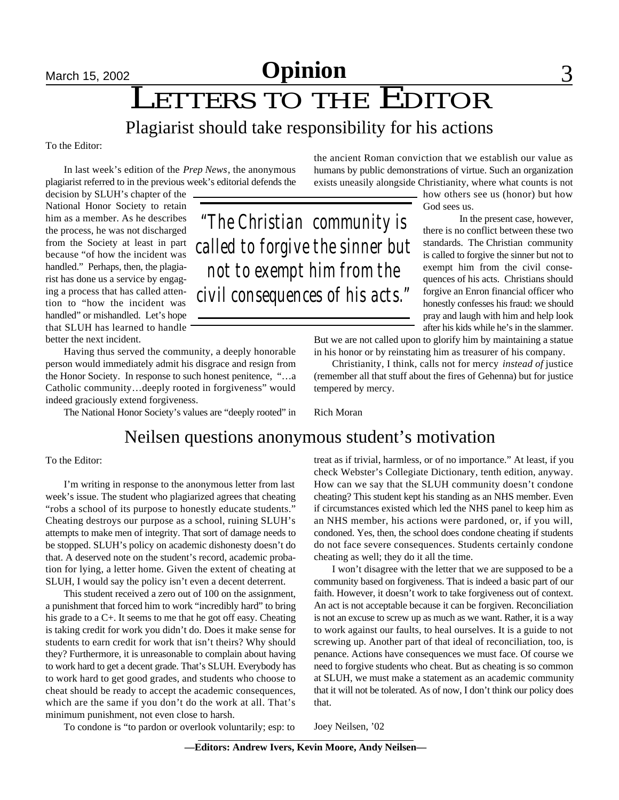# **March 15, 2002 Opinion** 3

LETTERS TO THE EDITOR

## Plagiarist should take responsibility for his actions

To the Editor:

In last week's edition of the *Prep News*, the anonymous plagiarist referred to in the previous week's editorial defends the

decision by SLUH's chapter of the National Honor Society to retain him as a member. As he describes the process, he was not discharged from the Society at least in part because "of how the incident was handled." Perhaps, then, the plagiarist has done us a service by engaging a process that has called attention to "how the incident was handled" or mishandled. Let's hope that SLUH has learned to handle better the next incident.

Having thus served the community, a deeply honorable person would immediately admit his disgrace and resign from the Honor Society. In response to such honest penitence, "…a Catholic community…deeply rooted in forgiveness" would indeed graciously extend forgiveness.

The National Honor Society's values are "deeply rooted" in

the ancient Roman conviction that we establish our value as humans by public demonstrations of virtue. Such an organization exists uneasily alongside Christianity, where what counts is not

> how others see us (honor) but how God sees us.

In the present case, however, there is no conflict between these two standards. The Christian community is called to forgive the sinner but not to exempt him from the civil consequences of his acts. Christians should forgive an Enron financial officer who honestly confesses his fraud: we should pray and laugh with him and help look after his kids while he's in the slammer.

But we are not called upon to glorify him by maintaining a statue in his honor or by reinstating him as treasurer of his company.

Christianity, I think, calls not for mercy *instead of* justice (remember all that stuff about the fires of Gehenna) but for justice tempered by mercy.

Rich Moran

## Neilsen questions anonymous student's motivation

### To the Editor:

I'm writing in response to the anonymous letter from last week's issue. The student who plagiarized agrees that cheating "robs a school of its purpose to honestly educate students." Cheating destroys our purpose as a school, ruining SLUH's attempts to make men of integrity. That sort of damage needs to be stopped. SLUH's policy on academic dishonesty doesn't do that. A deserved note on the student's record, academic probation for lying, a letter home. Given the extent of cheating at SLUH, I would say the policy isn't even a decent deterrent.

This student received a zero out of 100 on the assignment, a punishment that forced him to work "incredibly hard" to bring his grade to a C+. It seems to me that he got off easy. Cheating is taking credit for work you didn't do. Does it make sense for students to earn credit for work that isn't theirs? Why should they? Furthermore, it is unreasonable to complain about having to work hard to get a decent grade. That's SLUH. Everybody has to work hard to get good grades, and students who choose to cheat should be ready to accept the academic consequences, which are the same if you don't do the work at all. That's minimum punishment, not even close to harsh.

To condone is "to pardon or overlook voluntarily; esp: to

treat as if trivial, harmless, or of no importance." At least, if you check Webster's Collegiate Dictionary, tenth edition, anyway. How can we say that the SLUH community doesn't condone cheating? This student kept his standing as an NHS member. Even if circumstances existed which led the NHS panel to keep him as an NHS member, his actions were pardoned, or, if you will, condoned. Yes, then, the school does condone cheating if students do not face severe consequences. Students certainly condone cheating as well; they do it all the time.

I won't disagree with the letter that we are supposed to be a community based on forgiveness. That is indeed a basic part of our faith. However, it doesn't work to take forgiveness out of context. An act is not acceptable because it can be forgiven. Reconciliation is not an excuse to screw up as much as we want. Rather, it is a way to work against our faults, to heal ourselves. It is a guide to not screwing up. Another part of that ideal of reconciliation, too, is penance. Actions have consequences we must face. Of course we need to forgive students who cheat. But as cheating is so common at SLUH, we must make a statement as an academic community that it will not be tolerated. As of now, I don't think our policy does that.

Joey Neilsen, '02

# *"The Christian community is called to forgive the sinner but not to exempt him from the civil consequences of his acts."*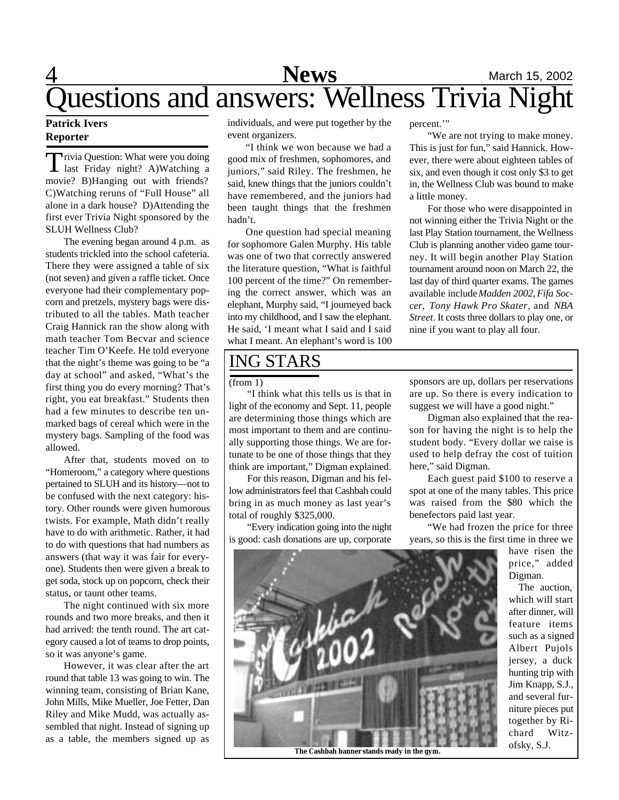

## **Patrick Ivers Reporter**

Trivia Question: What were you doing<br>last Friday night? A)Watching a rivia Question: What were you doing movie? B)Hanging out with friends? C)Watching reruns of "Full House" all alone in a dark house? D)Attending the first ever Trivia Night sponsored by the SLUH Wellness Club?

The evening began around 4 p.m. as students trickled into the school cafeteria. There they were assigned a table of six (not seven) and given a raffle ticket. Once everyone had their complementary popcorn and pretzels, mystery bags were distributed to all the tables. Math teacher Craig Hannick ran the show along with math teacher Tom Becvar and science teacher Tim O'Keefe. He told everyone that the night's theme was going to be "a day at school" and asked, "What's the first thing you do every morning? That's right, you eat breakfast." Students then had a few minutes to describe ten unmarked bags of cereal which were in the mystery bags. Sampling of the food was allowed.

After that, students moved on to "Homeroom," a category where questions pertained to SLUH and its history—not to be confused with the next category: history. Other rounds were given humorous twists. For example, Math didn't really have to do with arithmetic. Rather, it had to do with questions that had numbers as answers (that way it was fair for everyone). Students then were given a break to get soda, stock up on popcorn, check their status, or taunt other teams.

The night continued with six more rounds and two more breaks, and then it had arrived: the tenth round. The art category caused a lot of teams to drop points, so it was anyone's game.

However, it was clear after the art round that table 13 was going to win. The winning team, consisting of Brian Kane, John Mills, Mike Mueller, Joe Fetter, Dan Riley and Mike Mudd, was actually assembled that night. Instead of signing up as a table, the members signed up as

individuals, and were put together by the event organizers.

"I think we won because we had a good mix of freshmen, sophomores, and juniors," said Riley. The freshmen, he said, knew things that the juniors couldn't have remembered, and the juniors had been taught things that the freshmen hadn't.

One question had special meaning for sophomore Galen Murphy. His table was one of two that correctly answered the literature question, "What is faithful 100 percent of the time?" On remembering the correct answer, which was an elephant, Murphy said, "I journeyed back into my childhood, and I saw the elephant. He said, 'I meant what I said and I said what I meant. An elephant's word is 100

## ING STARS

"I think what this tells us is that in light of the economy and Sept. 11, people are determining those things which are most important to them and are continually supporting those things. We are fortunate to be one of those things that they think are important," Digman explained.

For this reason, Digman and his fellow administrators feel that Cashbah could bring in as much money as last year's total of roughly \$325,000.

"Every indication going into the night is good: cash donations are up, corporate

percent.'"

"We are not trying to make money. This is just for fun," said Hannick. However, there were about eighteen tables of six, and even though it cost only \$3 to get in, the Wellness Club was bound to make a little money.

For those who were disappointed in not winning either the Trivia Night or the last Play Station tournament, the Wellness Club is planning another video game tourney. It will begin another Play Station tournament around noon on March 22, the last day of third quarter exams. The games available include *Madden 2002*, *Fifa Soccer*, *Tony Hawk Pro Skater*, and *NBA Street*. It costs three dollars to play one, or nine if you want to play all four.

(from 1) sponsors are up, dollars per reservations are up. So there is every indication to suggest we will have a good night."

> Digman also explained that the reason for having the night is to help the student body. "Every dollar we raise is used to help defray the cost of tuition here," said Digman.

> Each guest paid \$100 to reserve a spot at one of the many tables. This price was raised from the \$80 which the benefectors paid last year.

> "We had frozen the price for three years, so this is the first time in three we

> > have risen the price," added Digman.

The auction, which will start after dinner, will feature items such as a signed Albert Pujols jersey, a duck hunting trip with Jim Knapp, S.J., and several furniture pieces put together by Richard Witzofsky, S.J.



**The Cashbah banner stands ready in the gym.**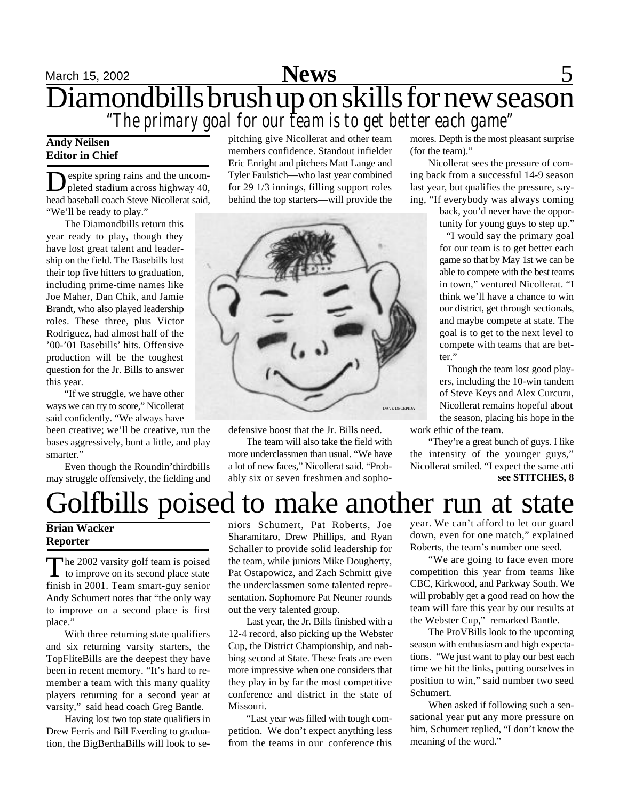## March 15, 2002 **News** 5 Diamondbills brush up on skills for new season *"The primary goal for our team is to get better each game"*

## **Andy Neilsen Editor in Chief**

Despite spring rains and the uncom-<br>pleted stadium across highway 40, espite spring rains and the uncomhead baseball coach Steve Nicollerat said, "We'll be ready to play."

The Diamondbills return this year ready to play, though they have lost great talent and leadership on the field. The Basebills lost their top five hitters to graduation, including prime-time names like Joe Maher, Dan Chik, and Jamie Brandt, who also played leadership roles. These three, plus Victor Rodriguez, had almost half of the '00-'01 Basebills' hits. Offensive production will be the toughest question for the Jr. Bills to answer this year.

"If we struggle, we have other ways we can try to score," Nicollerat said confidently. "We always have

been creative; we'll be creative, run the bases aggressively, bunt a little, and play smarter."

Even though the Roundin'thirdbills may struggle offensively, the fielding and pitching give Nicollerat and other team members confidence. Standout infielder Eric Enright and pitchers Matt Lange and Tyler Faulstich—who last year combined for 29 1/3 innings, filling support roles behind the top starters—will provide the



defensive boost that the Jr. Bills need.

The team will also take the field with more underclassmen than usual. "We have a lot of new faces," Nicollerat said. "Probably six or seven freshmen and sophomores. Depth is the most pleasant surprise (for the team)."

Nicollerat sees the pressure of coming back from a successful 14-9 season last year, but qualifies the pressure, saying, "If everybody was always coming

> back, you'd never have the opportunity for young guys to step up."

> "I would say the primary goal for our team is to get better each game so that by May 1st we can be able to compete with the best teams in town," ventured Nicollerat. "I think we'll have a chance to win our district, get through sectionals, and maybe compete at state. The goal is to get to the next level to compete with teams that are better."

> Though the team lost good players, including the 10-win tandem of Steve Keys and Alex Curcuru, Nicollerat remains hopeful about the season, placing his hope in the

work ethic of the team. "They're a great bunch of guys. I like

the intensity of the younger guys," Nicollerat smiled. "I expect the same atti **see STITCHES, 8**

# Golfbills poised to make another run at state

## **Brian Wacker Reporter**

The 2002 varsity golf team is poised<br>to improve on its second place state The 2002 varsity golf team is poised finish in 2001. Team smart-guy senior Andy Schumert notes that "the only way to improve on a second place is first place."

With three returning state qualifiers and six returning varsity starters, the TopFliteBills are the deepest they have been in recent memory. "It's hard to remember a team with this many quality players returning for a second year at varsity," said head coach Greg Bantle.

Having lost two top state qualifiers in Drew Ferris and Bill Everding to graduation, the BigBerthaBills will look to seniors Schumert, Pat Roberts, Joe Sharamitaro, Drew Phillips, and Ryan Schaller to provide solid leadership for the team, while juniors Mike Dougherty, Pat Ostapowicz, and Zach Schmitt give the underclassmen some talented representation. Sophomore Pat Neuner rounds out the very talented group.

Last year, the Jr. Bills finished with a 12-4 record, also picking up the Webster Cup, the District Championship, and nabbing second at State. These feats are even more impressive when one considers that they play in by far the most competitive conference and district in the state of Missouri.

"Last year was filled with tough competition. We don't expect anything less from the teams in our conference this

year. We can't afford to let our guard down, even for one match," explained Roberts, the team's number one seed.

"We are going to face even more competition this year from teams like CBC, Kirkwood, and Parkway South. We will probably get a good read on how the team will fare this year by our results at the Webster Cup," remarked Bantle.

The ProVBills look to the upcoming season with enthusiasm and high expectations. "We just want to play our best each time we hit the links, putting ourselves in position to win," said number two seed Schumert.

When asked if following such a sensational year put any more pressure on him, Schumert replied, "I don't know the meaning of the word."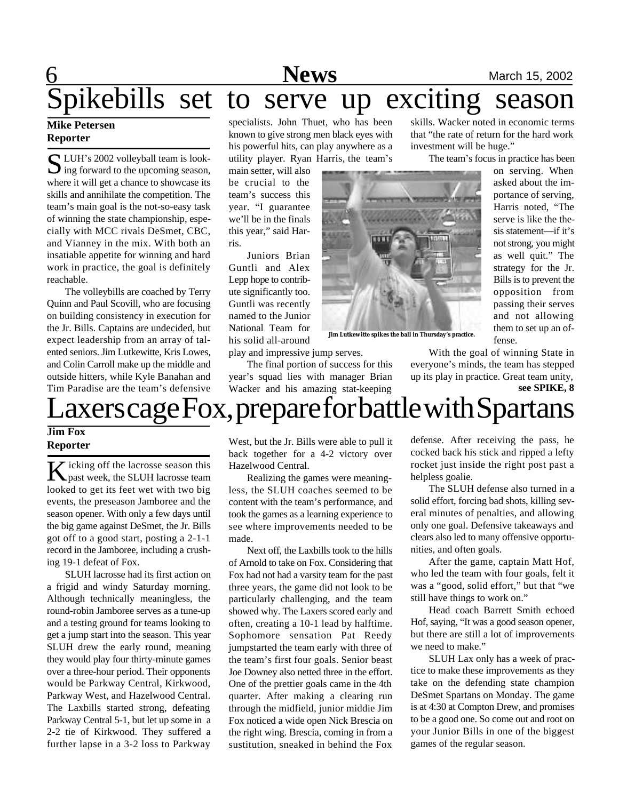# **6** Mews March 15, 2002 pikebills set to serve up exciting season

## **Mike Petersen Reporter**

S LUH's 2002 volleyball team is look-<br>ing forward to the upcoming season,  $\sum$  ing forward to the upcoming season, where it will get a chance to showcase its skills and annihilate the competition. The team's main goal is the not-so-easy task of winning the state championship, especially with MCC rivals DeSmet, CBC, and Vianney in the mix. With both an insatiable appetite for winning and hard work in practice, the goal is definitely reachable.

The volleybills are coached by Terry Quinn and Paul Scovill, who are focusing on building consistency in execution for the Jr. Bills. Captains are undecided, but expect leadership from an array of talented seniors. Jim Lutkewitte, Kris Lowes, and Colin Carroll make up the middle and outside hitters, while Kyle Banahan and Tim Paradise are the team's defensive

specialists. John Thuet, who has been known to give strong men black eyes with his powerful hits, can play anywhere as a utility player. Ryan Harris, the team's

main setter, will also be crucial to the team's success this year. "I guarantee we'll be in the finals this year," said Harris.

Juniors Brian Guntli and Alex Lepp hope to contribute significantly too. Guntli was recently named to the Junior National Team for his solid all-around

play and impressive jump serves.

The final portion of success for this year's squad lies with manager Brian Wacker and his amazing stat-keeping

skills. Wacker noted in economic terms that "the rate of return for the hard work investment will be huge."

The team's focus in practice has been

on serving. When asked about the importance of serving, Harris noted, "The serve is like the thesis statement—if it's not strong, you might as well quit." The strategy for the Jr. Bills is to prevent the opposition from passing their serves and not allowing them to set up an offense.

With the goal of winning State in everyone's minds, the team has stepped up its play in practice. Great team unity, **see SPIKE, 8**

# axers cage Fox, prepare for battle with Spartans

## **Jim Fox Reporter**

**K** icking off the lacrosse season this past week, the SLUH lacrosse team looked to get its feet wet with two big events, the preseason Jamboree and the season opener. With only a few days until the big game against DeSmet, the Jr. Bills got off to a good start, posting a 2-1-1 record in the Jamboree, including a crushing 19-1 defeat of Fox.

SLUH lacrosse had its first action on a frigid and windy Saturday morning. Although technically meaningless, the round-robin Jamboree serves as a tune-up and a testing ground for teams looking to get a jump start into the season. This year SLUH drew the early round, meaning they would play four thirty-minute games over a three-hour period. Their opponents would be Parkway Central, Kirkwood, Parkway West, and Hazelwood Central. The Laxbills started strong, defeating Parkway Central 5-1, but let up some in a 2-2 tie of Kirkwood. They suffered a further lapse in a 3-2 loss to Parkway

West, but the Jr. Bills were able to pull it back together for a 4-2 victory over Hazelwood Central.

Realizing the games were meaningless, the SLUH coaches seemed to be content with the team's performance, and took the games as a learning experience to see where improvements needed to be made.

Next off, the Laxbills took to the hills of Arnold to take on Fox. Considering that Fox had not had a varsity team for the past three years, the game did not look to be particularly challenging, and the team showed why. The Laxers scored early and often, creating a 10-1 lead by halftime. Sophomore sensation Pat Reedy jumpstarted the team early with three of the team's first four goals. Senior beast Joe Downey also netted three in the effort. One of the prettier goals came in the 4th quarter. After making a clearing run through the midfield, junior middie Jim Fox noticed a wide open Nick Brescia on the right wing. Brescia, coming in from a sustitution, sneaked in behind the Fox

defense. After receiving the pass, he cocked back his stick and ripped a lefty rocket just inside the right post past a helpless goalie.

The SLUH defense also turned in a solid effort, forcing bad shots, killing several minutes of penalties, and allowing only one goal. Defensive takeaways and clears also led to many offensive opportunities, and often goals.

After the game, captain Matt Hof, who led the team with four goals, felt it was a "good, solid effort," but that "we still have things to work on."

Head coach Barrett Smith echoed Hof, saying, "It was a good season opener, but there are still a lot of improvements we need to make."

SLUH Lax only has a week of practice to make these improvements as they take on the defending state champion DeSmet Spartans on Monday. The game is at 4:30 at Compton Drew, and promises to be a good one. So come out and root on your Junior Bills in one of the biggest games of the regular season.



**Jim Lutkewitte spikes the ball in Thursday's practice.**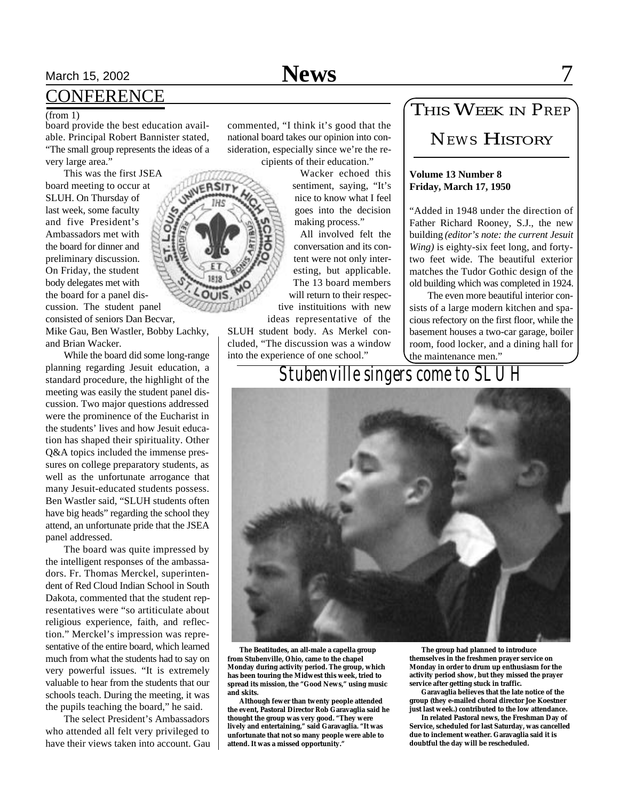# March 15, 2002 **News** 7

## **CONFERENCE**

### (from 1)

board provide the best education available. Principal Robert Bannister stated, "The small group represents the ideas of a very large area."

This was the first JSEA board meeting to occur at SLUH. On Thursday of last week, some faculty and five President's Ambassadors met with the board for dinner and preliminary discussion. On Friday, the student body delegates met with the board for a panel discussion. The student panel consisted of seniors Dan Becvar,

Mike Gau, Ben Wastler, Bobby Lachky, and Brian Wacker.

While the board did some long-range planning regarding Jesuit education, a standard procedure, the highlight of the meeting was easily the student panel discussion. Two major questions addressed were the prominence of the Eucharist in the students' lives and how Jesuit education has shaped their spirituality. Other Q&A topics included the immense pressures on college preparatory students, as well as the unfortunate arrogance that many Jesuit-educated students possess. Ben Wastler said, "SLUH students often have big heads" regarding the school they attend, an unfortunate pride that the JSEA panel addressed.

The board was quite impressed by the intelligent responses of the ambassadors. Fr. Thomas Merckel, superintendent of Red Cloud Indian School in South Dakota, commented that the student representatives were "so artiticulate about religious experience, faith, and reflection." Merckel's impression was representative of the entire board, which learned much from what the students had to say on very powerful issues. "It is extremely valuable to hear from the students that our schools teach. During the meeting, it was the pupils teaching the board," he said.

The select President's Ambassadors who attended all felt very privileged to have their views taken into account. Gau commented, "I think it's good that the national board takes our opinion into consideration, especially since we're the recipients of their education."

> Wacker echoed this sentiment, saying, "It's nice to know what I feel goes into the decision making process."

All involved felt the conversation and its content were not only interesting, but applicable. The 13 board members will return to their respective instituitions with new

ideas representative of the SLUH student body. As Merkel concluded, "The discussion was a window into the experience of one school."

## THIS WEEK IN *PREP*

## *NEWS* HISTORY

### **Volume 13 Number 8 Friday, March 17, 1950**

"Added in 1948 under the direction of Father Richard Rooney, S.J., the new building *(editor's note: the current Jesuit Wing)* is eighty-six feet long, and fortytwo feet wide. The beautiful exterior matches the Tudor Gothic design of the old building which was completed in 1924.

The even more beautiful interior consists of a large modern kitchen and spacious refectory on the first floor, while the basement houses a two-car garage, boiler room, food locker, and a dining hall for the maintenance men."

*Stubenville singers come to SLUH*



 **The Beatitudes, an all-male a capella group from Stubenville, Ohio, came to the chapel Monday during activity period. The group, which has been touring the Midwest this week, tried to spread its mission, the "Good News," using music and skits.**

 **Although fewer than twenty people attended the event, Pastoral Director Rob Garavaglia said he thought the group was very good. "They were lively and entertaining," said Garavaglia. "It was unfortunate that not so many people were able to attend. It was a missed opportunity."**

 **The group had planned to introduce themselves in the freshmen prayer service on Monday in order to drum up enthusiasm for the activity period show, but they missed the prayer service after getting stuck in traffic.**

 **Garavaglia believes that the late notice of the group (they e-mailed choral director Joe Koestner just last week.) contributed to the low attendance.**

 **In related Pastoral news, the Freshman Day of Service, scheduled for last Saturday, was cancelled due to inclement weather. Garavaglia said it is doubtful the day will be rescheduled.**